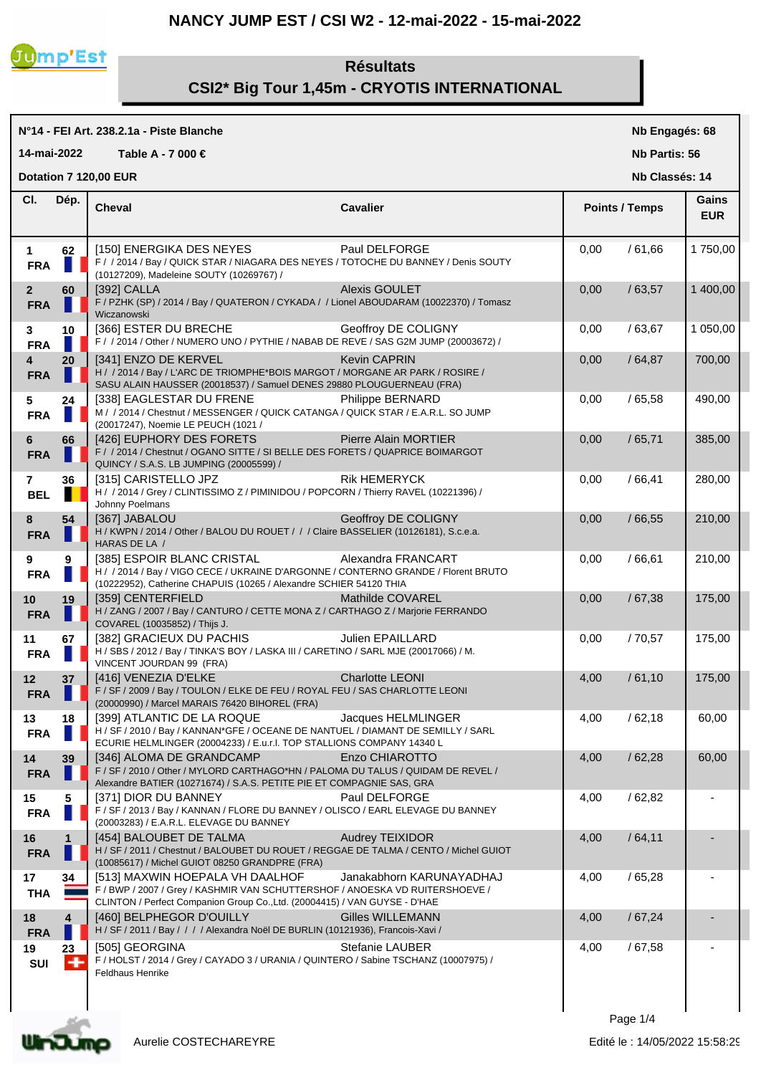## **NANCY JUMP EST / CSI W2 - 12-mai-2022 - 15-mai-2022**



# **Résultats CSI2\* Big Tour 1,45m - CRYOTIS INTERNATIONAL**

|                                         |              | N°14 - FEI Art. 238.2.1a - Piste Blanche                                                                                                                                                      |                          |      | Nb Engagés: 68        |                     |  |
|-----------------------------------------|--------------|-----------------------------------------------------------------------------------------------------------------------------------------------------------------------------------------------|--------------------------|------|-----------------------|---------------------|--|
| 14-mai-2022                             |              | Table A - 7 000 €                                                                                                                                                                             |                          |      | <b>Nb Partis: 56</b>  |                     |  |
| Dotation 7 120,00 EUR<br>Nb Classés: 14 |              |                                                                                                                                                                                               |                          |      |                       |                     |  |
| CI.                                     | Dép.         | <b>Cheval</b>                                                                                                                                                                                 | Cavalier                 |      | <b>Points / Temps</b> | Gains<br><b>EUR</b> |  |
| $\mathbf 1$<br><b>FRA</b>               | 62           | [150] ENERGIKA DES NEYES<br>F / / 2014 / Bay / QUICK STAR / NIAGARA DES NEYES / TOTOCHE DU BANNEY / Denis SOUTY<br>(10127209), Madeleine SOUTY (10269767) /                                   | Paul DELFORGE            | 0,00 | /61,66                | 1750,00             |  |
| $\mathbf{2}$<br><b>FRA</b>              | 60           | [392] CALLA<br>F / PZHK (SP) / 2014 / Bay / QUATERON / CYKADA / / Lionel ABOUDARAM (10022370) / Tomasz<br>Wiczanowski                                                                         | <b>Alexis GOULET</b>     | 0,00 | /63,57                | 1 400,00            |  |
| 3<br><b>FRA</b>                         | 10           | [366] ESTER DU BRECHE<br>F / / 2014 / Other / NUMERO UNO / PYTHIE / NABAB DE REVE / SAS G2M JUMP (20003672) /                                                                                 | Geoffroy DE COLIGNY      | 0,00 | /63,67                | 1 050,00            |  |
| 4<br><b>FRA</b>                         | 20           | [341] ENZO DE KERVEL<br>H / / 2014 / Bay / L'ARC DE TRIOMPHE*BOIS MARGOT / MORGANE AR PARK / ROSIRE /<br>SASU ALAIN HAUSSER (20018537) / Samuel DENES 29880 PLOUGUERNEAU (FRA)                | <b>Kevin CAPRIN</b>      | 0,00 | /64,87                | 700,00              |  |
| 5<br><b>FRA</b>                         | 24           | [338] EAGLESTAR DU FRENE<br>M / / 2014 / Chestnut / MESSENGER / QUICK CATANGA / QUICK STAR / E.A.R.L. SO JUMP<br>(20017247), Noemie LE PEUCH (1021 /                                          | Philippe BERNARD         | 0,00 | /65,58                | 490,00              |  |
| 6<br><b>FRA</b>                         | 66           | [426] EUPHORY DES FORETS<br>F / / 2014 / Chestnut / OGANO SITTE / SI BELLE DES FORETS / QUAPRICE BOIMARGOT<br>QUINCY / S.A.S. LB JUMPING (20005599) /                                         | Pierre Alain MORTIER     | 0,00 | /65,71                | 385,00              |  |
| $\overline{7}$<br><b>BEL</b>            | 36           | [315] CARISTELLO JPZ<br>H / / 2014 / Grey / CLINTISSIMO Z / PIMINIDOU / POPCORN / Thierry RAVEL (10221396) /<br>Johnny Poelmans                                                               | <b>Rik HEMERYCK</b>      | 0,00 | /66,41                | 280,00              |  |
| 8<br><b>FRA</b>                         | 54           | [367] JABALOU<br>H / KWPN / 2014 / Other / BALOU DU ROUET / / / Claire BASSELIER (10126181), S.c.e.a.<br>HARAS DE LA /                                                                        | Geoffroy DE COLIGNY      | 0,00 | /66,55                | 210,00              |  |
| 9<br><b>FRA</b>                         | 9            | [385] ESPOIR BLANC CRISTAL<br>H / / 2014 / Bay / VIGO CECE / UKRAINE D'ARGONNE / CONTERNO GRANDE / Florent BRUTO<br>(10222952), Catherine CHAPUIS (10265 / Alexandre SCHIER 54120 THIA        | Alexandra FRANCART       | 0,00 | /66,61                | 210,00              |  |
| 10<br><b>FRA</b>                        | 19           | [359] CENTERFIELD<br>H / ZANG / 2007 / Bay / CANTURO / CETTE MONA Z / CARTHAGO Z / Marjorie FERRANDO<br>COVAREL (10035852) / Thijs J.                                                         | Mathilde COVAREL         | 0,00 | /67,38                | 175,00              |  |
| 11<br><b>FRA</b>                        | 67<br>M.     | [382] GRACIEUX DU PACHIS<br>H / SBS / 2012 / Bay / TINKA'S BOY / LASKA III / CARETINO / SARL MJE (20017066) / M.<br>VINCENT JOURDAN 99 (FRA)                                                  | Julien EPAILLARD         | 0,00 | /70,57                | 175,00              |  |
| 12 <sub>2</sub><br><b>FRA</b>           | 37           | [416] VENEZIA D'ELKE<br>F / SF / 2009 / Bay / TOULON / ELKE DE FEU / ROYAL FEU / SAS CHARLOTTE LEONI<br>(20000990) / Marcel MARAIS 76420 BIHOREL (FRA)                                        | <b>Charlotte LEONI</b>   | 4,00 | /61,10                | 175,00              |  |
| 13<br><b>FRA</b>                        | 18           | [399] ATLANTIC DE LA ROQUE<br>H / SF / 2010 / Bay / KANNAN*GFE / OCEANE DE NANTUEL / DIAMANT DE SEMILLY / SARL<br>ECURIE HELMLINGER (20004233) / E.u.r.I. TOP STALLIONS COMPANY 14340 L       | Jacques HELMLINGER       | 4,00 | /62,18                | 60,00               |  |
| 14<br><b>FRA</b>                        | 39           | [346] ALOMA DE GRANDCAMP<br>F / SF / 2010 / Other / MYLORD CARTHAGO*HN / PALOMA DU TALUS / QUIDAM DE REVEL /<br>Alexandre BATIER (10271674) / S.A.S. PETITE PIE ET COMPAGNIE SAS, GRA         | Enzo CHIAROTTO           | 4,00 | /62,28                | 60,00               |  |
| 15<br><b>FRA</b>                        | 5            | [371] DIOR DU BANNEY<br>F / SF / 2013 / Bay / KANNAN / FLORE DU BANNEY / OLISCO / EARL ELEVAGE DU BANNEY<br>(20003283) / E.A.R.L. ELEVAGE DU BANNEY                                           | Paul DELFORGE            | 4,00 | /62,82                |                     |  |
| 16<br><b>FRA</b>                        | $\mathbf{1}$ | [454] BALOUBET DE TALMA<br>H / SF / 2011 / Chestnut / BALOUBET DU ROUET / REGGAE DE TALMA / CENTO / Michel GUIOT<br>(10085617) / Michel GUIOT 08250 GRANDPRE (FRA)                            | <b>Audrey TEIXIDOR</b>   | 4,00 | /64,11                |                     |  |
| 17<br><b>THA</b>                        | 34           | [513] MAXWIN HOEPALA VH DAALHOF<br>F / BWP / 2007 / Grey / KASHMIR VAN SCHUTTERSHOF / ANOESKA VD RUITERSHOEVE /<br>CLINTON / Perfect Companion Group Co., Ltd. (20004415) / VAN GUYSE - D'HAE | Janakabhorn KARUNAYADHAJ | 4,00 | /65,28                |                     |  |
| 18<br><b>FRA</b>                        | 4            | [460] BELPHEGOR D'OUILLY<br>H / SF / 2011 / Bay / / / / Alexandra Noël DE BURLIN (10121936), Francois-Xavi /                                                                                  | Gilles WILLEMANN         | 4,00 | /67,24                |                     |  |
| 19<br>SUI                               | 23<br>۰      | [505] GEORGINA<br>F / HOLST / 2014 / Grey / CAYADO 3 / URANIA / QUINTERO / Sabine TSCHANZ (10007975) /<br><b>Feldhaus Henrike</b>                                                             | <b>Stefanie LAUBER</b>   | 4,00 | /67,58                |                     |  |
|                                         |              |                                                                                                                                                                                               |                          |      |                       |                     |  |

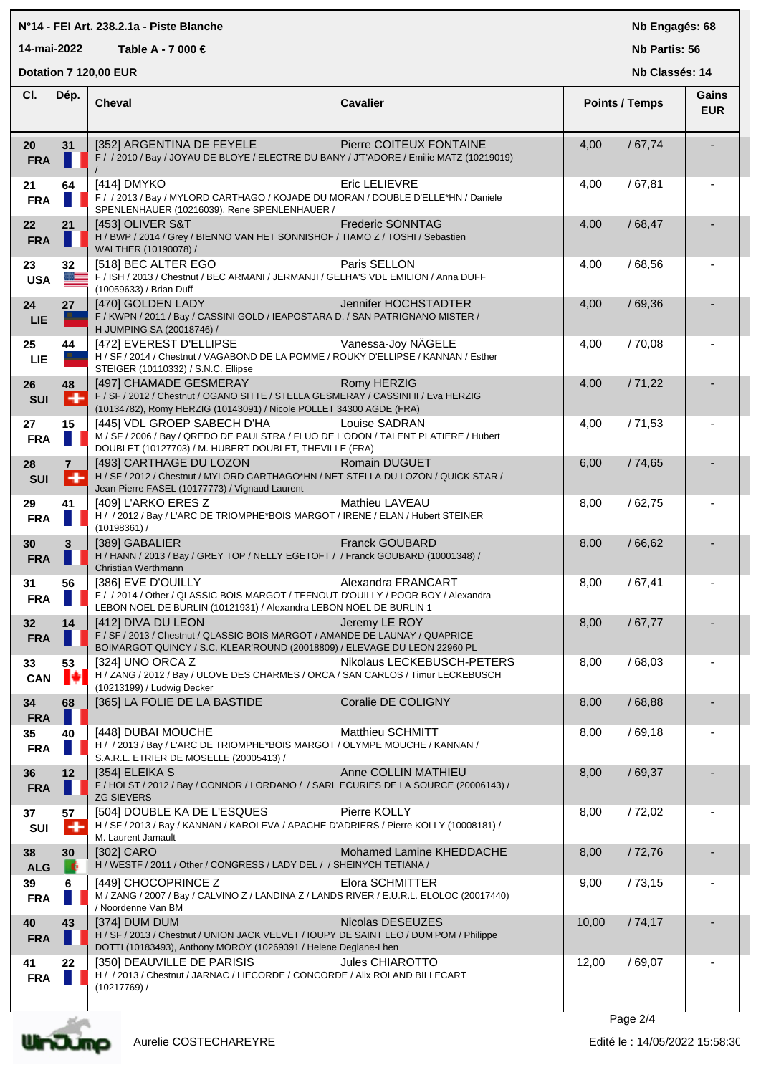### **N°14 - FEI Art. 238.2.1a - Piste Blanche**

**14-mai-2022 Table A - 7 000 €**

**Nb Engagés: 68**

**Nb Partis: 56**

|                  | Dotation 7 120,00 EUR |                                                                                                                                                                                     |                            |       | Nb Classés: 14        |                     |  |
|------------------|-----------------------|-------------------------------------------------------------------------------------------------------------------------------------------------------------------------------------|----------------------------|-------|-----------------------|---------------------|--|
| CI.              | Dép.                  | <b>Cheval</b>                                                                                                                                                                       | <b>Cavalier</b>            |       | <b>Points / Temps</b> | Gains<br><b>EUR</b> |  |
| 20<br><b>FRA</b> | 31<br>ш               | [352] ARGENTINA DE FEYELE<br>F / / 2010 / Bay / JOYAU DE BLOYE / ELECTRE DU BANY / JT'ADORE / Emilie MATZ (10219019)                                                                | Pierre COITEUX FONTAINE    | 4,00  | /67,74                |                     |  |
| 21<br><b>FRA</b> | 64                    | [414] DMYKO<br>F / / 2013 / Bay / MYLORD CARTHAGO / KOJADE DU MORAN / DOUBLE D'ELLE*HN / Daniele<br>SPENLENHAUER (10216039), Rene SPENLENHAUER /                                    | Eric LELIEVRE              | 4,00  | /67,81                |                     |  |
| 22<br><b>FRA</b> | 21                    | [453] OLIVER S&T<br>H / BWP / 2014 / Grey / BIENNO VAN HET SONNISHOF / TIAMO Z / TOSHI / Sebastien<br>WALTHER (10190078) /                                                          | <b>Frederic SONNTAG</b>    | 4,00  | /68,47                |                     |  |
| 23<br><b>USA</b> | 32<br>≋≡              | [518] BEC ALTER EGO<br>F / ISH / 2013 / Chestnut / BEC ARMANI / JERMANJI / GELHA'S VDL EMILION / Anna DUFF<br>(10059633) / Brian Duff                                               | Paris SELLON               | 4,00  | /68,56                |                     |  |
| 24<br>LIE        | 27                    | [470] GOLDEN LADY<br>F / KWPN / 2011 / Bay / CASSINI GOLD / IEAPOSTARA D. / SAN PATRIGNANO MISTER /<br>H-JUMPING SA (20018746) /                                                    | Jennifer HOCHSTADTER       | 4,00  | /69,36                |                     |  |
| 25<br><b>LIE</b> | 44                    | [472] EVEREST D'ELLIPSE<br>H / SF / 2014 / Chestnut / VAGABOND DE LA POMME / ROUKY D'ELLIPSE / KANNAN / Esther<br>STEIGER (10110332) / S.N.C. Ellipse                               | Vanessa-Joy NÄGELE         | 4,00  | /70,08                |                     |  |
| 26<br>SUI        | 48<br>÷               | [497] CHAMADE GESMERAY<br>F / SF / 2012 / Chestnut / OGANO SITTE / STELLA GESMERAY / CASSINI II / Eva HERZIG<br>(10134782), Romy HERZIG (10143091) / Nicole POLLET 34300 AGDE (FRA) | Romy HERZIG                | 4,00  | /71,22                |                     |  |
| 27<br><b>FRA</b> | 15                    | [445] VDL GROEP SABECH D'HA<br>M / SF / 2006 / Bay / QREDO DE PAULSTRA / FLUO DE L'ODON / TALENT PLATIERE / Hubert<br>DOUBLET (10127703) / M. HUBERT DOUBLET, THEVILLE (FRA)        | Louise SADRAN              | 4,00  | /71,53                |                     |  |
| 28<br>SUI        | $\mathbf{7}$<br>÷     | [493] CARTHAGE DU LOZON<br>H / SF / 2012 / Chestnut / MYLORD CARTHAGO*HN / NET STELLA DU LOZON / QUICK STAR /<br>Jean-Pierre FASEL (10177773) / Vignaud Laurent                     | Romain DUGUET              | 6,00  | /74,65                |                     |  |
| 29<br><b>FRA</b> | 41                    | [409] L'ARKO ERES Z<br>H / / 2012 / Bay / L'ARC DE TRIOMPHE*BOIS MARGOT / IRENE / ELAN / Hubert STEINER<br>(10198361) /                                                             | Mathieu LAVEAU             | 8,00  | /62,75                |                     |  |
| 30<br><b>FRA</b> | $\mathbf{3}$          | [389] GABALIER<br>H / HANN / 2013 / Bay / GREY TOP / NELLY EGETOFT / / Franck GOUBARD (10001348) /<br>Christian Werthmann                                                           | <b>Franck GOUBARD</b>      | 8,00  | /66,62                |                     |  |
| 31<br><b>FRA</b> | 56                    | [386] EVE D'OUILLY<br>F / / 2014 / Other / QLASSIC BOIS MARGOT / TEFNOUT D'OUILLY / POOR BOY / Alexandra<br>LEBON NOEL DE BURLIN (10121931) / Alexandra LEBON NOEL DE BURLIN 1      | Alexandra FRANCART         | 8,00  | /67,41                |                     |  |
| 32<br><b>FRA</b> | 14                    | [412] DIVA DU LEON<br>F / SF / 2013 / Chestnut / QLASSIC BOIS MARGOT / AMANDE DE LAUNAY / QUAPRICE<br>BOIMARGOT QUINCY / S.C. KLEAR'ROUND (20018809) / ELEVAGE DU LEON 22960 PL     | Jeremy LE ROY              | 8,00  | /67,77                |                     |  |
| 33<br>CAN        | 53<br>ŀ               | [324] UNO ORCA Z<br>H / ZANG / 2012 / Bay / ULOVE DES CHARMES / ORCA / SAN CARLOS / Timur LECKEBUSCH<br>(10213199) / Ludwig Decker                                                  | Nikolaus LECKEBUSCH-PETERS | 8,00  | /68,03                |                     |  |
| 34<br><b>FRA</b> | 68                    | [365] LA FOLIE DE LA BASTIDE                                                                                                                                                        | Coralie DE COLIGNY         | 8,00  | /68,88                |                     |  |
| 35<br><b>FRA</b> | 40                    | [448] DUBAI MOUCHE<br>H / / 2013 / Bay / L'ARC DE TRIOMPHE*BOIS MARGOT / OLYMPE MOUCHE / KANNAN /<br>S.A.R.L. ETRIER DE MOSELLE (20005413) /                                        | <b>Matthieu SCHMITT</b>    | 8,00  | /69,18                |                     |  |
| 36<br><b>FRA</b> | 12                    | [354] ELEIKA S<br>F / HOLST / 2012 / Bay / CONNOR / LORDANO / / SARL ECURIES DE LA SOURCE (20006143) /<br><b>ZG SIEVERS</b>                                                         | Anne COLLIN MATHIEU        | 8,00  | /69,37                |                     |  |
| 37<br>SUI        | 57<br>۰               | [504] DOUBLE KA DE L'ESQUES<br>H / SF / 2013 / Bay / KANNAN / KAROLEVA / APACHE D'ADRIERS / Pierre KOLLY (10008181) /<br>M. Laurent Jamault                                         | Pierre KOLLY               | 8,00  | /72,02                |                     |  |
| 38<br><b>ALG</b> | 30                    | [302] CARO<br>H / WESTF / 2011 / Other / CONGRESS / LADY DEL / / SHEINYCH TETIANA /                                                                                                 | Mohamed Lamine KHEDDACHE   | 8,00  | /72,76                |                     |  |
| 39<br><b>FRA</b> | 6                     | [449] CHOCOPRINCE Z<br>M / ZANG / 2007 / Bay / CALVINO Z / LANDINA Z / LANDS RIVER / E.U.R.L. ELOLOC (20017440)<br>/ Noordenne Van BM                                               | Elora SCHMITTER            | 9,00  | /73,15                |                     |  |
| 40<br><b>FRA</b> | 43                    | [374] DUM DUM<br>H / SF / 2013 / Chestnut / UNION JACK VELVET / IOUPY DE SAINT LEO / DUM'POM / Philippe<br>DOTTI (10183493), Anthony MOROY (10269391 / Helene Deglane-Lhen          | Nicolas DESEUZES           | 10,00 | /74,17                |                     |  |
| 41<br><b>FRA</b> | 22                    | [350] DEAUVILLE DE PARISIS<br>H / / 2013 / Chestnut / JARNAC / LIECORDE / CONCORDE / Alix ROLAND BILLECART<br>(10217769) /                                                          | Jules CHIAROTTO            | 12,00 | /69,07                |                     |  |
|                  |                       |                                                                                                                                                                                     |                            |       |                       |                     |  |

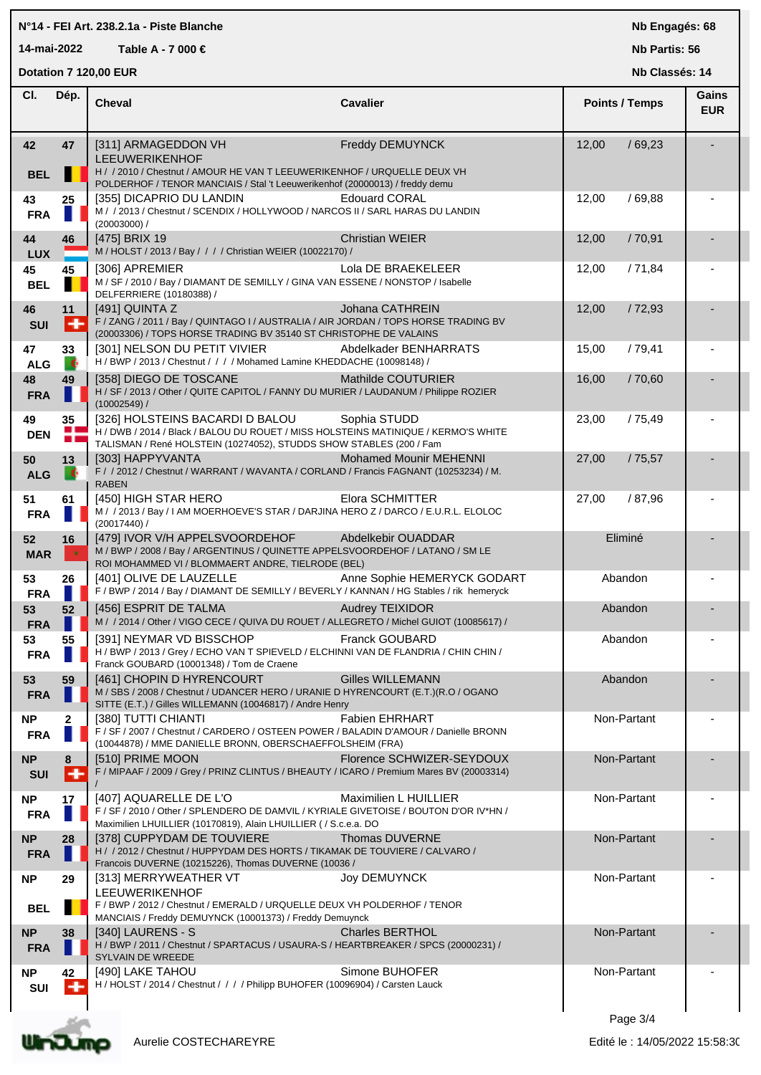### **N°14 - FEI Art. 238.2.1a - Piste Blanche**

**14-mai-2022 Table A - 7 000 €**

**Nb Engagés: 68**

**Nb Partis: 56**

|                         | Dotation 7 120,00 EUR<br>Nb Classés: 14 |                                                                                                                                                                                                          |                               |                       |                     |
|-------------------------|-----------------------------------------|----------------------------------------------------------------------------------------------------------------------------------------------------------------------------------------------------------|-------------------------------|-----------------------|---------------------|
| CI.                     | Dép.                                    | <b>Cheval</b>                                                                                                                                                                                            | <b>Cavalier</b>               | <b>Points / Temps</b> | Gains<br><b>EUR</b> |
| 42<br><b>BEL</b>        | 47                                      | [311] ARMAGEDDON VH<br><b>LEEUWERIKENHOF</b><br>H / / 2010 / Chestnut / AMOUR HE VAN T LEEUWERIKENHOF / URQUELLE DEUX VH<br>POLDERHOF / TENOR MANCIAIS / Stal 't Leeuwerikenhof (20000013) / freddy demu | Freddy DEMUYNCK               | /69,23<br>12,00       |                     |
| 43<br><b>FRA</b>        | 25                                      | [355] DICAPRIO DU LANDIN<br>M / / 2013 / Chestnut / SCENDIX / HOLLYWOOD / NARCOS II / SARL HARAS DU LANDIN<br>$(20003000)$ /                                                                             | <b>Edouard CORAL</b>          | 12,00<br>/69,88       |                     |
| 44<br><b>LUX</b>        | 46                                      | [475] BRIX 19<br>M / HOLST / 2013 / Bay / / / / Christian WEIER (10022170) /                                                                                                                             | <b>Christian WEIER</b>        | /70,91<br>12,00       |                     |
| 45<br><b>BEL</b>        | 45                                      | [306] APREMIER<br>M / SF / 2010 / Bay / DIAMANT DE SEMILLY / GINA VAN ESSENE / NONSTOP / Isabelle<br>DELFERRIERE (10180388) /                                                                            | Lola DE BRAEKELEER            | /71,84<br>12,00       |                     |
| 46<br><b>SUI</b>        | 11<br>∣+                                | [491] QUINTA Z<br>F / ZANG / 2011 / Bay / QUINTAGO I / AUSTRALIA / AIR JORDAN / TOPS HORSE TRADING BV<br>(20003306) / TOPS HORSE TRADING BV 35140 ST CHRISTOPHE DE VALAINS                               | Johana CATHREIN               | 12,00<br>/72,93       |                     |
| 47<br><b>ALG</b>        | 33<br>×                                 | [301] NELSON DU PETIT VIVIER<br>H / BWP / 2013 / Chestnut / / / / Mohamed Lamine KHEDDACHE (10098148) /                                                                                                  | Abdelkader BENHARRATS         | 15,00<br>/79,41       |                     |
| 48<br><b>FRA</b>        | 49<br>ш                                 | [358] DIEGO DE TOSCANE<br>H / SF / 2013 / Other / QUITE CAPITOL / FANNY DU MURIER / LAUDANUM / Philippe ROZIER<br>$(10002549)$ /                                                                         | Mathilde COUTURIER            | 16,00<br>/70,60       |                     |
| 49<br><b>DEN</b>        | 35<br>ш<br>m r                          | [326] HOLSTEINS BACARDI D BALOU<br>H / DWB / 2014 / Black / BALOU DU ROUET / MISS HOLSTEINS MATINIQUE / KERMO'S WHITE<br>TALISMAN / René HOLSTEIN (10274052), STUDDS SHOW STABLES (200 / Fam             | Sophia STUDD                  | 23,00<br>/75,49       |                     |
| 50<br><b>ALG</b>        | 13<br>ĸ                                 | [303] HAPPYVANTA<br>F / / 2012 / Chestnut / WARRANT / WAVANTA / CORLAND / Francis FAGNANT (10253234) / M.<br><b>RABEN</b>                                                                                | <b>Mohamed Mounir MEHENNI</b> | 27,00<br>/75,57       |                     |
| 51<br><b>FRA</b>        | 61                                      | [450] HIGH STAR HERO<br>M / / 2013 / Bay / I AM MOERHOEVE'S STAR / DARJINA HERO Z / DARCO / E.U.R.L. ELOLOC<br>$(20017440)$ /                                                                            | <b>Elora SCHMITTER</b>        | 27,00<br>/ 87,96      |                     |
| 52<br><b>MAR</b>        | 16<br>$\bullet$                         | [479] IVOR V/H APPELSVOORDEHOF Abdelkebir OUADDAR<br>M / BWP / 2008 / Bay / ARGENTINUS / QUINETTE APPELSVOORDEHOF / LATANO / SM LE<br>ROI MOHAMMED VI / BLOMMAERT ANDRE, TIELRODE (BEL)                  |                               | Eliminé               |                     |
| 53<br><b>FRA</b>        | 26                                      | [401] OLIVE DE LAUZELLE<br>F / BWP / 2014 / Bay / DIAMANT DE SEMILLY / BEVERLY / KANNAN / HG Stables / rik hemeryck                                                                                      | Anne Sophie HEMERYCK GODART   | Abandon               |                     |
| 53<br><b>FRA</b>        | 52                                      | [456] ESPRIT DE TALMA<br>M / / 2014 / Other / VIGO CECE / QUIVA DU ROUET / ALLEGRETO / Michel GUIOT (10085617) /                                                                                         | <b>Audrey TEIXIDOR</b>        | Abandon               |                     |
| 53<br><b>FRA</b>        | 55                                      | [391] NEYMAR VD BISSCHOP<br>H / BWP / 2013 / Grey / ECHO VAN T SPIEVELD / ELCHINNI VAN DE FLANDRIA / CHIN CHIN /<br>Franck GOUBARD (10001348) / Tom de Craene                                            | Franck GOUBARD                | Abandon               |                     |
| 53<br><b>FRA</b>        | 59                                      | [461] CHOPIN D HYRENCOURT<br>M / SBS / 2008 / Chestnut / UDANCER HERO / URANIE D HYRENCOURT (E.T.)(R.O / OGANO<br>SITTE (E.T.) / Gilles WILLEMANN (10046817) / Andre Henry                               | <b>Gilles WILLEMANN</b>       | Abandon               |                     |
| <b>NP</b><br><b>FRA</b> | $\mathbf{2}$                            | <b>[380] TUTTI CHIANTI</b><br>F / SF / 2007 / Chestnut / CARDERO / OSTEEN POWER / BALADIN D'AMOUR / Danielle BRONN<br>(10044878) / MME DANIELLE BRONN, OBERSCHAEFFOLSHEIM (FRA)                          | <b>Fabien EHRHART</b>         | Non-Partant           |                     |
| <b>NP</b><br><b>SUI</b> | 8<br>÷                                  | [510] PRIME MOON<br>F / MIPAAF / 2009 / Grey / PRINZ CLINTUS / BHEAUTY / ICARO / Premium Mares BV (20003314)                                                                                             | Florence SCHWIZER-SEYDOUX     | Non-Partant           |                     |
| <b>NP</b><br><b>FRA</b> | 17                                      | [407] AQUARELLE DE L'O<br>F / SF / 2010 / Other / SPLENDERO DE DAMVIL / KYRIALE GIVETOISE / BOUTON D'OR IV*HN /<br>Maximilien LHUILLIER (10170819), Alain LHUILLIER ( / S.c.e.a. DO                      | Maximilien L HUILLIER         | Non-Partant           |                     |
| <b>NP</b><br><b>FRA</b> | 28<br>ш                                 | [378] CUPPYDAM DE TOUVIERE<br>H / / 2012 / Chestnut / HUPPYDAM DES HORTS / TIKAMAK DE TOUVIERE / CALVARO /<br>Francois DUVERNE (10215226), Thomas DUVERNE (10036 /                                       | Thomas DUVERNE                | Non-Partant           |                     |
| <b>NP</b>               | 29                                      | [313] MERRYWEATHER VT<br><b>LEEUWERIKENHOF</b><br>F / BWP / 2012 / Chestnut / EMERALD / URQUELLE DEUX VH POLDERHOF / TENOR                                                                               | <b>Joy DEMUYNCK</b>           | Non-Partant           |                     |
| <b>BEL</b><br><b>NP</b> | 38                                      | MANCIAIS / Freddy DEMUYNCK (10001373) / Freddy Demuynck<br>[340] LAURENS - S                                                                                                                             | <b>Charles BERTHOL</b>        | Non-Partant           |                     |
| <b>FRA</b>              |                                         | H / BWP / 2011 / Chestnut / SPARTACUS / USAURA-S / HEARTBREAKER / SPCS (20000231) /<br>SYLVAIN DE WREEDE                                                                                                 | Simone BUHOFER                | Non-Partant           |                     |
| <b>NP</b><br>SUI        | 42<br>$\ddot{}$                         | [490] LAKE TAHOU<br>H / HOLST / 2014 / Chestnut / / / / Philipp BUHOFER (10096904) / Carsten Lauck                                                                                                       |                               |                       |                     |
|                         |                                         |                                                                                                                                                                                                          |                               |                       |                     |